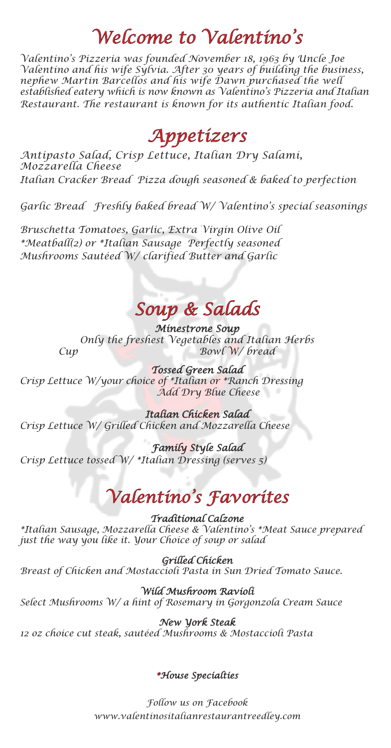# *Welcome to Valentino's*

*Valentino's Pizzeria was founded November 18, 1963 by Uncle Joe Valentino and his wife Sylvia. After 30 years of building the business, nephew Martin Barcellos and his wife Dawn purchased the well established eatery which is now known as Valentino's Pizzeria and Italian Restaurant. The restaurant is known for its authentic Italian food.*

*Appetizers*

*Antipasto Salad, Crisp Lettuce, Italian Dry Salami, Mozzarella Cheese Italian Cracker Bread Pizza dough seasoned & baked to perfection* 

*Garlic Bread Freshly baked bread W/ Valentino's special seasonings* 

*Bruschetta Tomatoes, Garlic, Extra Virgin Olive Oil \*Meatball(2) or \*Italian Sausage Perfectly seasoned Mushrooms Sautéed W/ clarified Butter and Garlic*

*Soup & Salads*

*Minestrone Soup Only the freshest Vegetables and Italian Herbs Cup Bowl W/ bread*

*Tossed Green Salad Crisp Lettuce W/your choice of \*Italian or \*Ranch Dressing Add Dry Blue Cheese*

*Italian Chicken Salad Crisp Lettuce W/ Grilled Chicken and Mozzarella Cheese*

*Family Style Salad Crisp Lettuce tossed W/ \*Italian Dressing (serves 5)*

# *Valentino's Favorites*

*Traditional Calzone*

*\*Italian Sausage, Mozzarella Cheese & Valentino's \*Meat Sauce prepared just the way you like it. Your Choice of soup or salad*

*Grilled Chicken*

*Breast of Chicken and Mostaccioli Pasta in Sun Dried Tomato Sauce.*

*Wild Mushroom Ravioli*

*Select Mushrooms W/ a hint of Rosemary in Gorgonzola Cream Sauce*

### *New York Steak*

*12 oz choice cut steak, sautéed Mushrooms & Mostaccioli Pasta*

### *\*House Specialties*

*Follow us on Facebook www.valentinositalianrestaurantreedley.com*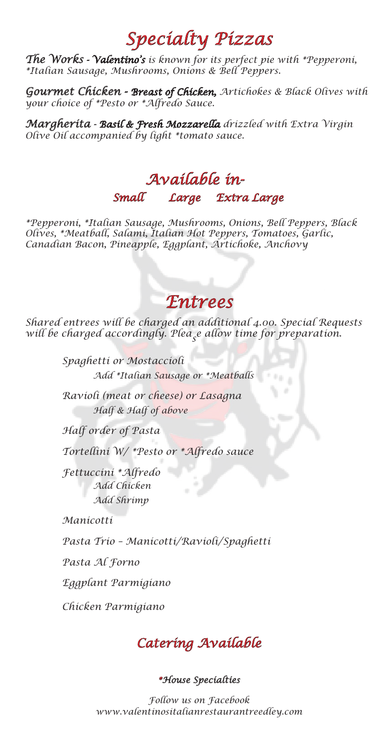# *Specialty Pizzas*

*The Works - Valentino's is known for its perfect pie with \*Pepperoni, \*Italian Sausage, Mushrooms, Onions & Bell Peppers.* 

*Gourmet Chicken - Breast of Chicken, Artichokes & Black Olives with your choice of \*Pesto or \*Alfredo Sauce.* 

*Margherita - Basil & Fresh Mozzarella drizzled with Extra Virgin Olive Oil accompanied by light \*tomato sauce.*

## *Small Large Extra Large Available in-*

*\*Pepperoni, \*Italian Sausage, Mushrooms, Onions, Bell Peppers, Black Olives, \*Meatball, Salami, Italian Hot Peppers, Tomatoes, Garlic, Canadian Bacon, Pineapple, Eggplant, Artichoke, Anchovy*

### *Entrees*

*Shared entrees will be charged an additional 4.00. Special Requests will be charged accordingly. Pleas e allow time for preparation.*

> *Spaghetti or Mostaccioli Add \*Italian Sausage or \*Meatballs*

*Ravioli (meat or cheese) or Lasagna Half & Half of above*

*Half order of Pasta*

*Tortellini W/ \*Pesto or \*Alfredo sauce*

*Fettuccini \*Alfredo Add Chicken Add Shrimp*

*Manicotti*

*Pasta Trio – Manicotti/Ravioli/Spaghetti*

*Pasta Al Forno*

*Eggplant Parmigiano*

*Chicken Parmigiano*



### *\*House Specialties*

*Follow us on Facebook www.valentinositalianrestaurantreedley.com*